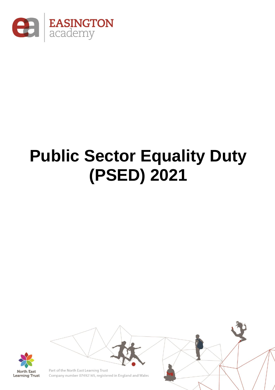

## **Public Sector Equality Duty (PSED) 2021**

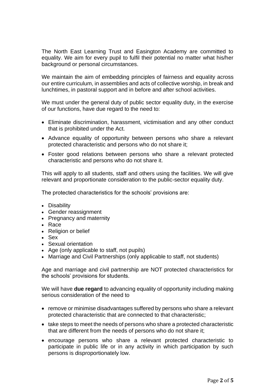The North East Learning Trust and Easington Academy are committed to equality. We aim for every pupil to fulfil their potential no matter what his/her background or personal circumstances.

We maintain the aim of embedding principles of fairness and equality across our entire curriculum, in assemblies and acts of collective worship, in break and lunchtimes, in pastoral support and in before and after school activities.

We must under the general duty of public sector equality duty, in the exercise of our functions, have due regard to the need to:

- Eliminate discrimination, harassment, victimisation and any other conduct that is prohibited under the Act.
- Advance equality of opportunity between persons who share a relevant protected characteristic and persons who do not share it;
- Foster good relations between persons who share a relevant protected characteristic and persons who do not share it.

This will apply to all students, staff and others using the facilities. We will give relevant and proportionate consideration to the public-sector equality duty.

The protected characteristics for the schools' provisions are:

- Disability
- Gender reassignment
- Pregnancy and maternity
- Race
- Religion or belief
- Sex
- Sexual orientation
- Age (only applicable to staff, not pupils)
- Marriage and Civil Partnerships (only applicable to staff, not students)

Age and marriage and civil partnership are NOT protected characteristics for the schools' provisions for students.

We will have **due regard** to advancing equality of opportunity including making serious consideration of the need to

- remove or minimise disadvantages suffered by persons who share a relevant protected characteristic that are connected to that characteristic;
- take steps to meet the needs of persons who share a protected characteristic that are different from the needs of persons who do not share it;
- encourage persons who share a relevant protected characteristic to participate in public life or in any activity in which participation by such persons is disproportionately low.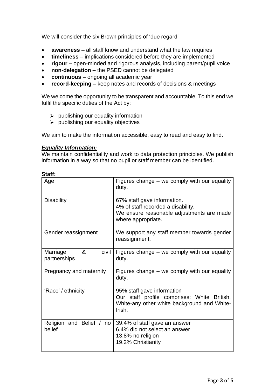We will consider the six Brown principles of 'due regard'

- **awareness –** all staff know and understand what the law requires
- **timeliness**  implications considered before they are implemented
- **rigour –** open-minded and rigorous analysis, including parent/pupil voice
- **non-delegation –** the PSED cannot be delegated
- **continuous –** ongoing all academic year
- **record-keeping –** keep notes and records of decisions & meetings

We welcome the opportunity to be transparent and accountable. To this end we fulfil the specific duties of the Act by:

- $\triangleright$  publishing our equality information
- $\triangleright$  publishing our equality objectives

We aim to make the information accessible, easy to read and easy to find.

## *Equality Information:*

We maintain confidentiality and work to data protection principles. We publish information in a way so that no pupil or staff member can be identified.

| Age                                    | Figures change $-$ we comply with our equality<br>duty.                                                                              |  |
|----------------------------------------|--------------------------------------------------------------------------------------------------------------------------------------|--|
| <b>Disability</b>                      | 67% staff gave information.<br>4% of staff recorded a disability.<br>We ensure reasonable adjustments are made<br>where appropriate. |  |
| Gender reassignment                    | We support any staff member towards gender<br>reassignment.                                                                          |  |
| &<br>Marriage<br>civil<br>partnerships | Figures change $-$ we comply with our equality<br>duty.                                                                              |  |
| Pregnancy and maternity                | Figures change $-$ we comply with our equality<br>duty.                                                                              |  |
| 'Race' / ethnicity                     | 95% staff gave information<br>Our staff profile comprises: White British,<br>White-any other white background and White-<br>Irish.   |  |
| Religion and Belief / no<br>belief     | 39.4% of staff gave an answer<br>6.4% did not select an answer<br>13.8% no religion<br>19.2% Christianity                            |  |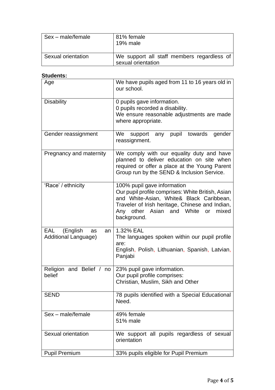| Sex - male/female  | 81% female<br>19% male                                           |
|--------------------|------------------------------------------------------------------|
| Sexual orientation | We support all staff members regardless of<br>sexual orientation |

## **Students:**

| Age                                                 | We have pupils aged from 11 to 16 years old in<br>our school.                                                                                                                                                                                    |  |  |
|-----------------------------------------------------|--------------------------------------------------------------------------------------------------------------------------------------------------------------------------------------------------------------------------------------------------|--|--|
| <b>Disability</b>                                   | 0 pupils gave information.<br>0 pupils recorded a disability.<br>We ensure reasonable adjustments are made<br>where appropriate.                                                                                                                 |  |  |
| Gender reassignment                                 | pupil<br>We<br>towards<br>any<br>gender<br>support<br>reassignment.                                                                                                                                                                              |  |  |
| Pregnancy and maternity                             | We comply with our equality duty and have<br>planned to deliver education on site when<br>required or offer a place at the Young Parent<br>Group run by the SEND & Inclusion Service.                                                            |  |  |
| 'Race' / ethnicity                                  | 100% pupil gave information<br>Our pupil profile comprises: White British, Asian<br>and White-Asian, White& Black Caribbean,<br>Traveler of Irish heritage, Chinese and Indian,<br>White<br>Any other Asian<br>and<br>mixed<br>or<br>background. |  |  |
| EAL<br>(English<br>as<br>an<br>Additional Language) | 1.32% EAL<br>The languages spoken within our pupil profile<br>are:<br>English, Polish, Lithuanian, Spanish, Latvian,<br>Panjabi                                                                                                                  |  |  |
| and Belief / no<br>Religion<br>belief               | 23% pupil gave information.<br>Our pupil profile comprises:<br>Christian, Muslim, Sikh and Other                                                                                                                                                 |  |  |
| <b>SEND</b>                                         | 78 pupils identified with a Special Educational<br>Need.                                                                                                                                                                                         |  |  |
| Sex - male/female                                   | 49% female<br>51% male                                                                                                                                                                                                                           |  |  |
| Sexual orientation                                  | We support all pupils regardless of sexual<br>orientation                                                                                                                                                                                        |  |  |
| <b>Pupil Premium</b>                                | 33% pupils eligible for Pupil Premium                                                                                                                                                                                                            |  |  |